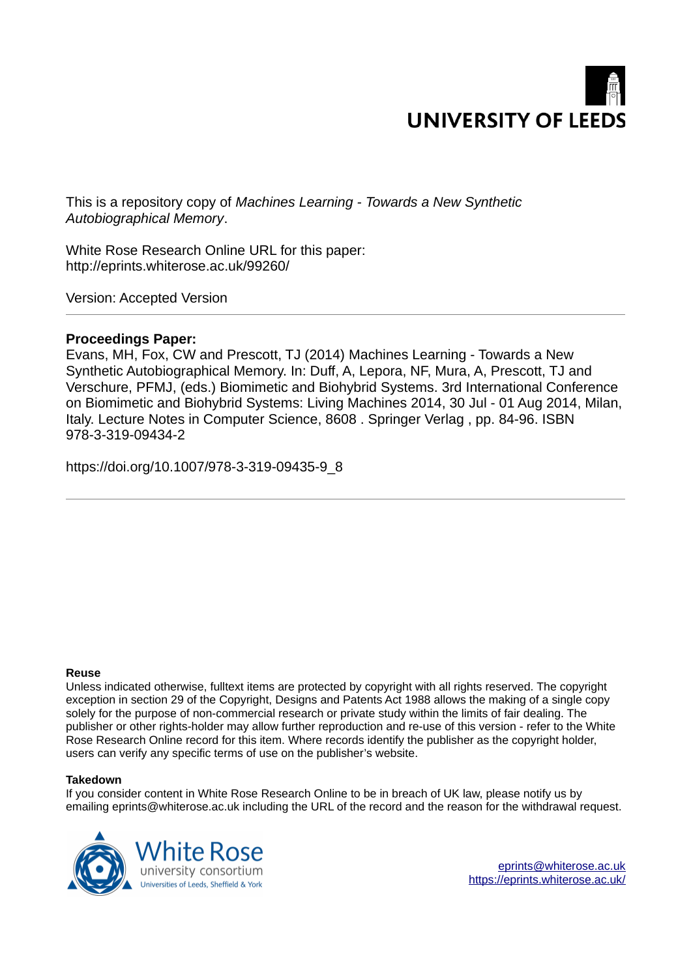

This is a repository copy of *Machines Learning - Towards a New Synthetic Autobiographical Memory*.

White Rose Research Online URL for this paper: http://eprints.whiterose.ac.uk/99260/

Version: Accepted Version

# **Proceedings Paper:**

Evans, MH, Fox, CW and Prescott, TJ (2014) Machines Learning - Towards a New Synthetic Autobiographical Memory. In: Duff, A, Lepora, NF, Mura, A, Prescott, TJ and Verschure, PFMJ, (eds.) Biomimetic and Biohybrid Systems. 3rd International Conference on Biomimetic and Biohybrid Systems: Living Machines 2014, 30 Jul - 01 Aug 2014, Milan, Italy. Lecture Notes in Computer Science, 8608 . Springer Verlag , pp. 84-96. ISBN 978-3-319-09434-2

https://doi.org/10.1007/978-3-319-09435-9\_8

# **Reuse**

Unless indicated otherwise, fulltext items are protected by copyright with all rights reserved. The copyright exception in section 29 of the Copyright, Designs and Patents Act 1988 allows the making of a single copy solely for the purpose of non-commercial research or private study within the limits of fair dealing. The publisher or other rights-holder may allow further reproduction and re-use of this version - refer to the White Rose Research Online record for this item. Where records identify the publisher as the copyright holder, users can verify any specific terms of use on the publisher's website.

# **Takedown**

If you consider content in White Rose Research Online to be in breach of UK law, please notify us by emailing eprints@whiterose.ac.uk including the URL of the record and the reason for the withdrawal request.

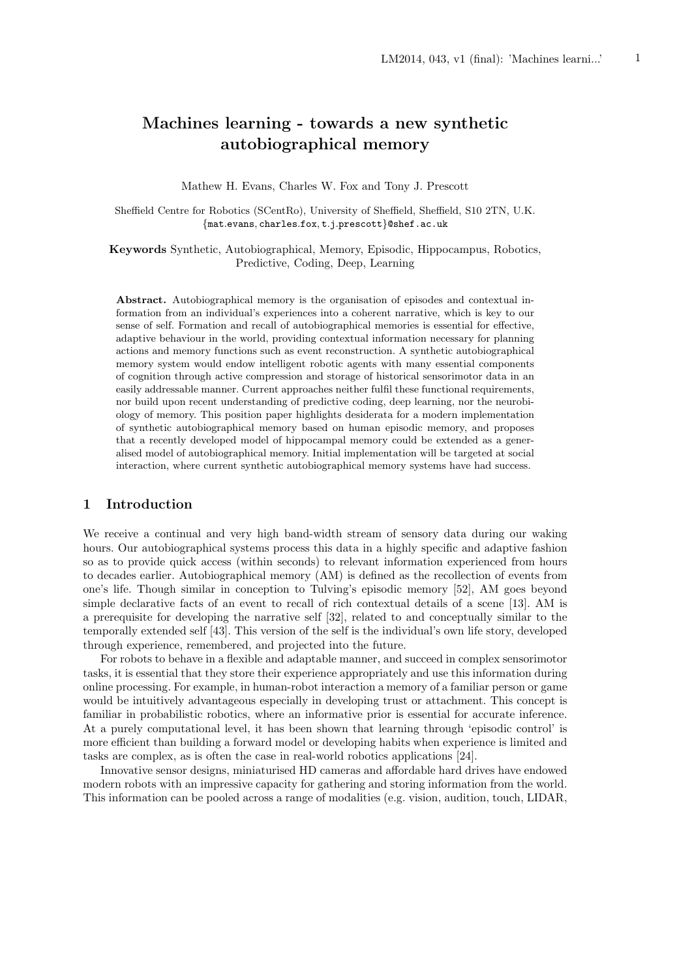# Machines learning - towards a new synthetic autobiographical memory

Mathew H. Evans, Charles W. Fox and Tony J. Prescott

Sheffield Centre for Robotics (SCentRo), University of Sheffield, Sheffield, S10 2TN, U.K. {mat.evans, charles.fox, t.j.prescott}@shef.ac.uk

Keywords Synthetic, Autobiographical, Memory, Episodic, Hippocampus, Robotics, Predictive, Coding, Deep, Learning

Abstract. Autobiographical memory is the organisation of episodes and contextual information from an individual's experiences into a coherent narrative, which is key to our sense of self. Formation and recall of autobiographical memories is essential for effective, adaptive behaviour in the world, providing contextual information necessary for planning actions and memory functions such as event reconstruction. A synthetic autobiographical memory system would endow intelligent robotic agents with many essential components of cognition through active compression and storage of historical sensorimotor data in an easily addressable manner. Current approaches neither fulfil these functional requirements, nor build upon recent understanding of predictive coding, deep learning, nor the neurobiology of memory. This position paper highlights desiderata for a modern implementation of synthetic autobiographical memory based on human episodic memory, and proposes that a recently developed model of hippocampal memory could be extended as a generalised model of autobiographical memory. Initial implementation will be targeted at social interaction, where current synthetic autobiographical memory systems have had success.

# 1 Introduction

We receive a continual and very high band-width stream of sensory data during our waking hours. Our autobiographical systems process this data in a highly specific and adaptive fashion so as to provide quick access (within seconds) to relevant information experienced from hours to decades earlier. Autobiographical memory (AM) is defined as the recollection of events from one's life. Though similar in conception to Tulving's episodic memory [52], AM goes beyond simple declarative facts of an event to recall of rich contextual details of a scene [13]. AM is a prerequisite for developing the narrative self [32], related to and conceptually similar to the temporally extended self [43]. This version of the self is the individual's own life story, developed through experience, remembered, and projected into the future.

For robots to behave in a flexible and adaptable manner, and succeed in complex sensorimotor tasks, it is essential that they store their experience appropriately and use this information during online processing. For example, in human-robot interaction a memory of a familiar person or game would be intuitively advantageous especially in developing trust or attachment. This concept is familiar in probabilistic robotics, where an informative prior is essential for accurate inference. At a purely computational level, it has been shown that learning through 'episodic control' is more efficient than building a forward model or developing habits when experience is limited and tasks are complex, as is often the case in real-world robotics applications [24].

Innovative sensor designs, miniaturised HD cameras and affordable hard drives have endowed modern robots with an impressive capacity for gathering and storing information from the world. This information can be pooled across a range of modalities (e.g. vision, audition, touch, LIDAR,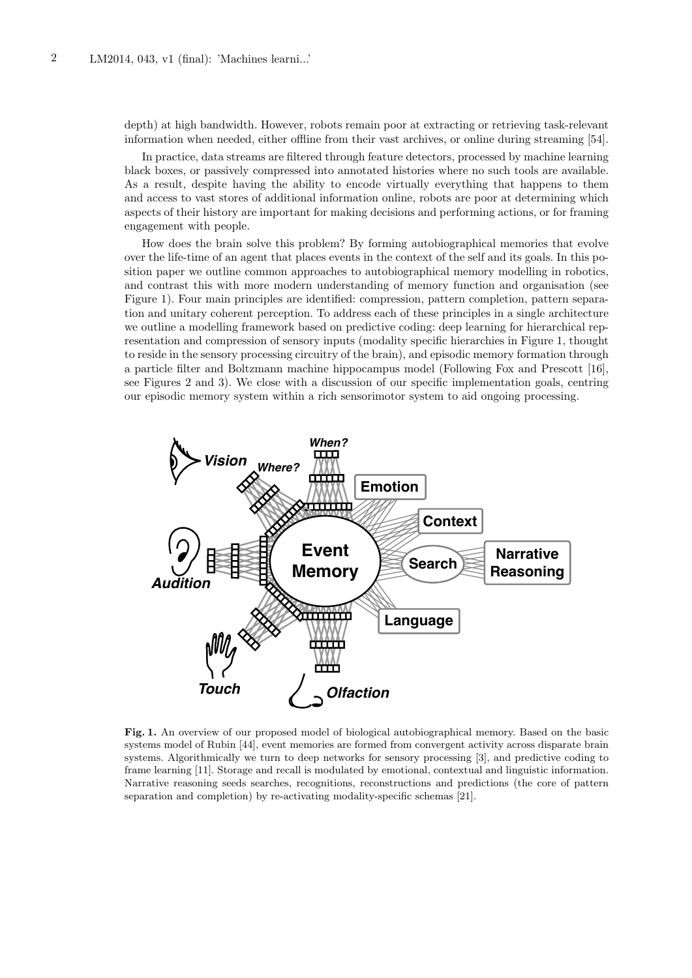depth) at high bandwidth. However, robots remain poor at extracting or retrieving task-relevant information when needed, either offline from their vast archives, or online during streaming [54].

In practice, data streams are filtered through feature detectors, processed by machine learning black boxes, or passively compressed into annotated histories where no such tools are available. As a result, despite having the ability to encode virtually everything that happens to them and access to vast stores of additional information online, robots are poor at determining which aspects of their history are important for making decisions and performing actions, or for framing engagement with people.

How does the brain solve this problem? By forming autobiographical memories that evolve over the life-time of an agent that places events in the context of the self and its goals. In this position paper we outline common approaches to autobiographical memory modelling in robotics, and contrast this with more modern understanding of memory function and organisation (see Figure 1). Four main principles are identified: compression, pattern completion, pattern separation and unitary coherent perception. To address each of these principles in a single architecture we outline a modelling framework based on predictive coding: deep learning for hierarchical representation and compression of sensory inputs (modality specific hierarchies in Figure 1, thought to reside in the sensory processing circuitry of the brain), and episodic memory formation through a particle filter and Boltzmann machine hippocampus model (Following Fox and Prescott [16], see Figures 2 and 3). We close with a discussion of our specific implementation goals, centring our episodic memory system within a rich sensorimotor system to aid ongoing processing.



Fig. 1. An overview of our proposed model of biological autobiographical memory. Based on the basic systems model of Rubin [44], event memories are formed from convergent activity across disparate brain systems. Algorithmically we turn to deep networks for sensory processing [3], and predictive coding to frame learning [11]. Storage and recall is modulated by emotional, contextual and linguistic information. Narrative reasoning seeds searches, recognitions, reconstructions and predictions (the core of pattern separation and completion) by re-activating modality-specific schemas [21].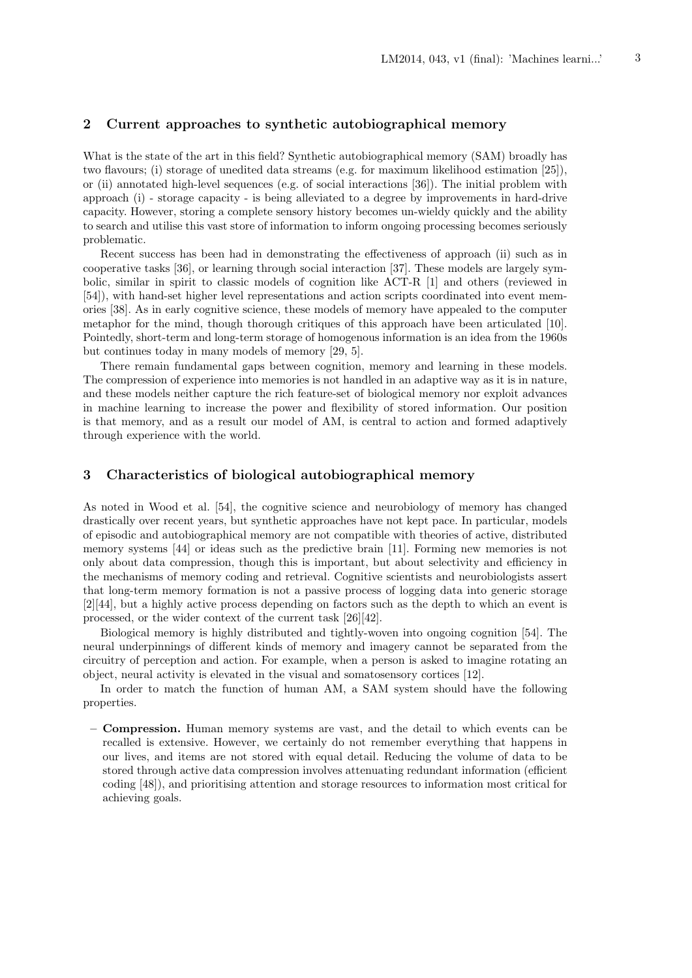# 2 Current approaches to synthetic autobiographical memory

What is the state of the art in this field? Synthetic autobiographical memory (SAM) broadly has two flavours; (i) storage of unedited data streams (e.g. for maximum likelihood estimation [25]), or (ii) annotated high-level sequences (e.g. of social interactions [36]). The initial problem with approach (i) - storage capacity - is being alleviated to a degree by improvements in hard-drive capacity. However, storing a complete sensory history becomes un-wieldy quickly and the ability to search and utilise this vast store of information to inform ongoing processing becomes seriously problematic.

Recent success has been had in demonstrating the effectiveness of approach (ii) such as in cooperative tasks [36], or learning through social interaction [37]. These models are largely symbolic, similar in spirit to classic models of cognition like ACT-R [1] and others (reviewed in [54]), with hand-set higher level representations and action scripts coordinated into event memories [38]. As in early cognitive science, these models of memory have appealed to the computer metaphor for the mind, though thorough critiques of this approach have been articulated [10]. Pointedly, short-term and long-term storage of homogenous information is an idea from the 1960s but continues today in many models of memory [29, 5].

There remain fundamental gaps between cognition, memory and learning in these models. The compression of experience into memories is not handled in an adaptive way as it is in nature, and these models neither capture the rich feature-set of biological memory nor exploit advances in machine learning to increase the power and flexibility of stored information. Our position is that memory, and as a result our model of AM, is central to action and formed adaptively through experience with the world.

# 3 Characteristics of biological autobiographical memory

As noted in Wood et al. [54], the cognitive science and neurobiology of memory has changed drastically over recent years, but synthetic approaches have not kept pace. In particular, models of episodic and autobiographical memory are not compatible with theories of active, distributed memory systems [44] or ideas such as the predictive brain [11]. Forming new memories is not only about data compression, though this is important, but about selectivity and efficiency in the mechanisms of memory coding and retrieval. Cognitive scientists and neurobiologists assert that long-term memory formation is not a passive process of logging data into generic storage [2][44], but a highly active process depending on factors such as the depth to which an event is processed, or the wider context of the current task [26][42].

Biological memory is highly distributed and tightly-woven into ongoing cognition [54]. The neural underpinnings of different kinds of memory and imagery cannot be separated from the circuitry of perception and action. For example, when a person is asked to imagine rotating an object, neural activity is elevated in the visual and somatosensory cortices [12].

In order to match the function of human AM, a SAM system should have the following properties.

– Compression. Human memory systems are vast, and the detail to which events can be recalled is extensive. However, we certainly do not remember everything that happens in our lives, and items are not stored with equal detail. Reducing the volume of data to be stored through active data compression involves attenuating redundant information (efficient coding [48]), and prioritising attention and storage resources to information most critical for achieving goals.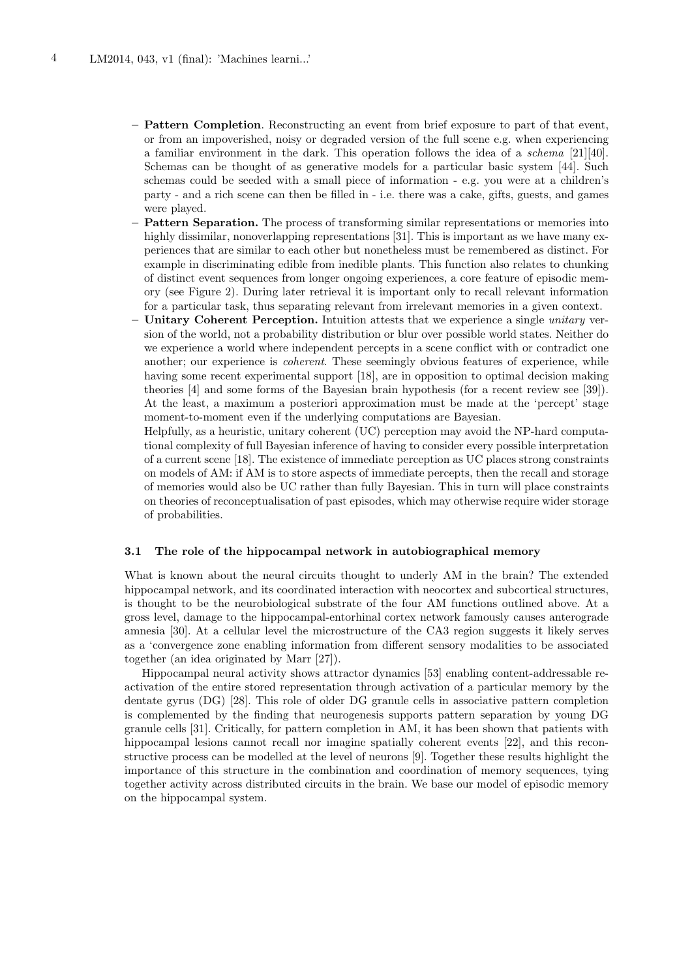- Pattern Completion. Reconstructing an event from brief exposure to part of that event, or from an impoverished, noisy or degraded version of the full scene e.g. when experiencing a familiar environment in the dark. This operation follows the idea of a schema [21][40]. Schemas can be thought of as generative models for a particular basic system [44]. Such schemas could be seeded with a small piece of information - e.g. you were at a children's party - and a rich scene can then be filled in - i.e. there was a cake, gifts, guests, and games were played.
- Pattern Separation. The process of transforming similar representations or memories into highly dissimilar, nonoverlapping representations [31]. This is important as we have many experiences that are similar to each other but nonetheless must be remembered as distinct. For example in discriminating edible from inedible plants. This function also relates to chunking of distinct event sequences from longer ongoing experiences, a core feature of episodic memory (see Figure 2). During later retrieval it is important only to recall relevant information for a particular task, thus separating relevant from irrelevant memories in a given context.
- Unitary Coherent Perception. Intuition attests that we experience a single *unitary* version of the world, not a probability distribution or blur over possible world states. Neither do we experience a world where independent percepts in a scene conflict with or contradict one another; our experience is coherent. These seemingly obvious features of experience, while having some recent experimental support [18], are in opposition to optimal decision making theories [4] and some forms of the Bayesian brain hypothesis (for a recent review see [39]). At the least, a maximum a posteriori approximation must be made at the 'percept' stage moment-to-moment even if the underlying computations are Bayesian.

Helpfully, as a heuristic, unitary coherent (UC) perception may avoid the NP-hard computational complexity of full Bayesian inference of having to consider every possible interpretation of a current scene [18]. The existence of immediate perception as UC places strong constraints on models of AM: if AM is to store aspects of immediate percepts, then the recall and storage of memories would also be UC rather than fully Bayesian. This in turn will place constraints on theories of reconceptualisation of past episodes, which may otherwise require wider storage of probabilities.

#### 3.1 The role of the hippocampal network in autobiographical memory

What is known about the neural circuits thought to underly AM in the brain? The extended hippocampal network, and its coordinated interaction with neocortex and subcortical structures, is thought to be the neurobiological substrate of the four AM functions outlined above. At a gross level, damage to the hippocampal-entorhinal cortex network famously causes anterograde amnesia [30]. At a cellular level the microstructure of the CA3 region suggests it likely serves as a 'convergence zone enabling information from different sensory modalities to be associated together (an idea originated by Marr [27]).

Hippocampal neural activity shows attractor dynamics [53] enabling content-addressable reactivation of the entire stored representation through activation of a particular memory by the dentate gyrus (DG) [28]. This role of older DG granule cells in associative pattern completion is complemented by the finding that neurogenesis supports pattern separation by young DG granule cells [31]. Critically, for pattern completion in AM, it has been shown that patients with hippocampal lesions cannot recall nor imagine spatially coherent events [22], and this reconstructive process can be modelled at the level of neurons [9]. Together these results highlight the importance of this structure in the combination and coordination of memory sequences, tying together activity across distributed circuits in the brain. We base our model of episodic memory on the hippocampal system.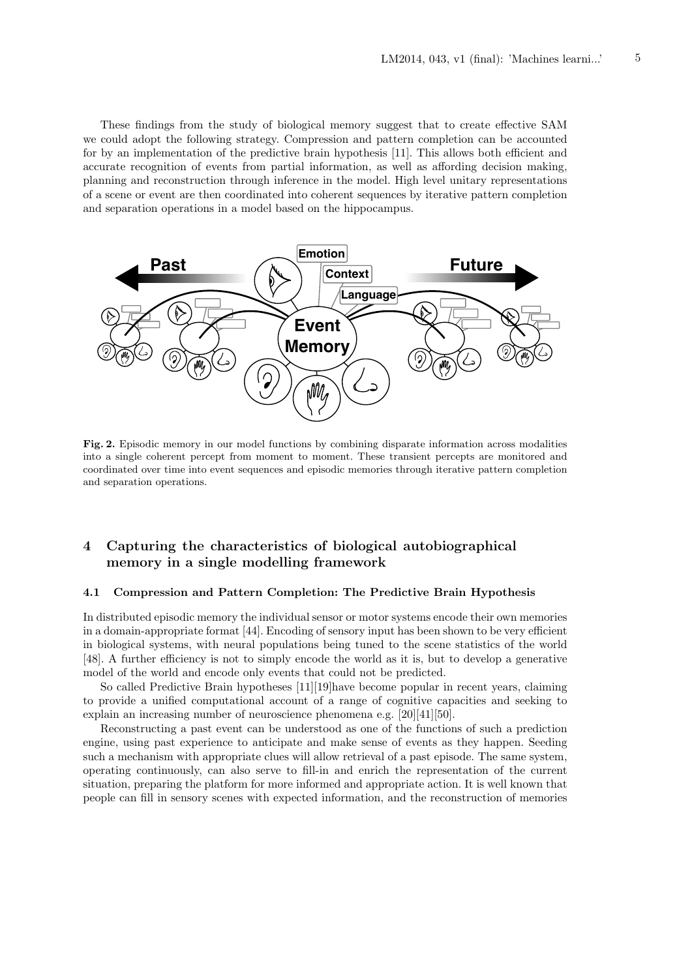These findings from the study of biological memory suggest that to create effective SAM we could adopt the following strategy. Compression and pattern completion can be accounted for by an implementation of the predictive brain hypothesis [11]. This allows both efficient and accurate recognition of events from partial information, as well as affording decision making, planning and reconstruction through inference in the model. High level unitary representations of a scene or event are then coordinated into coherent sequences by iterative pattern completion and separation operations in a model based on the hippocampus.



Fig. 2. Episodic memory in our model functions by combining disparate information across modalities into a single coherent percept from moment to moment. These transient percepts are monitored and coordinated over time into event sequences and episodic memories through iterative pattern completion and separation operations.

# 4 Capturing the characteristics of biological autobiographical memory in a single modelling framework

#### 4.1 Compression and Pattern Completion: The Predictive Brain Hypothesis

In distributed episodic memory the individual sensor or motor systems encode their own memories in a domain-appropriate format [44]. Encoding of sensory input has been shown to be very efficient in biological systems, with neural populations being tuned to the scene statistics of the world [48]. A further efficiency is not to simply encode the world as it is, but to develop a generative model of the world and encode only events that could not be predicted.

So called Predictive Brain hypotheses [11][19]have become popular in recent years, claiming to provide a unified computational account of a range of cognitive capacities and seeking to explain an increasing number of neuroscience phenomena e.g. [20][41][50].

Reconstructing a past event can be understood as one of the functions of such a prediction engine, using past experience to anticipate and make sense of events as they happen. Seeding such a mechanism with appropriate clues will allow retrieval of a past episode. The same system, operating continuously, can also serve to fill-in and enrich the representation of the current situation, preparing the platform for more informed and appropriate action. It is well known that people can fill in sensory scenes with expected information, and the reconstruction of memories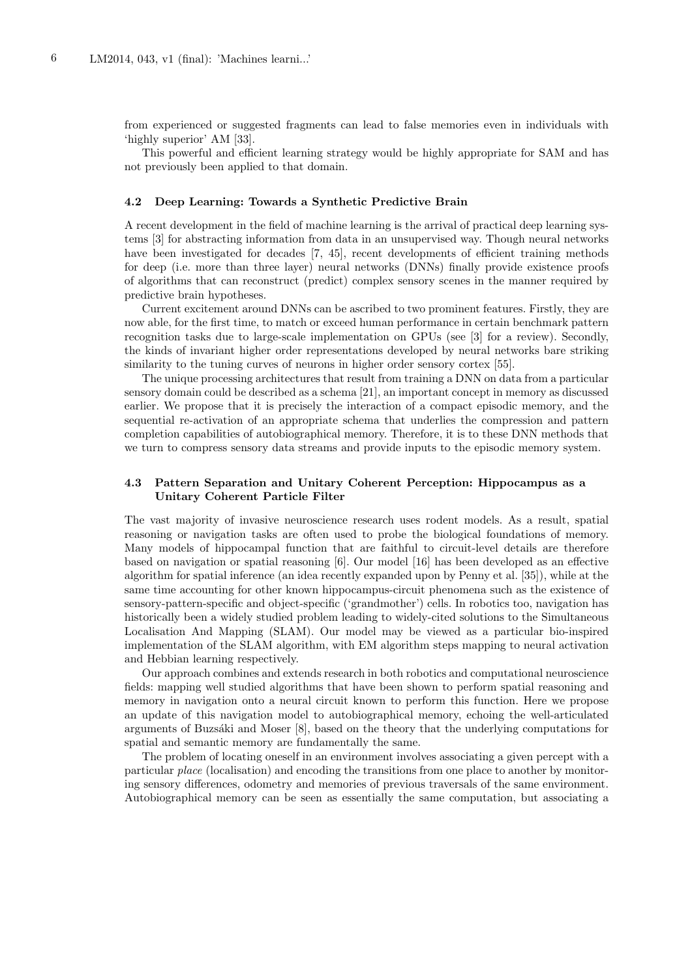from experienced or suggested fragments can lead to false memories even in individuals with 'highly superior' AM [33].

This powerful and efficient learning strategy would be highly appropriate for SAM and has not previously been applied to that domain.

#### 4.2 Deep Learning: Towards a Synthetic Predictive Brain

A recent development in the field of machine learning is the arrival of practical deep learning systems [3] for abstracting information from data in an unsupervised way. Though neural networks have been investigated for decades [7, 45], recent developments of efficient training methods for deep (i.e. more than three layer) neural networks (DNNs) finally provide existence proofs of algorithms that can reconstruct (predict) complex sensory scenes in the manner required by predictive brain hypotheses.

Current excitement around DNNs can be ascribed to two prominent features. Firstly, they are now able, for the first time, to match or exceed human performance in certain benchmark pattern recognition tasks due to large-scale implementation on GPUs (see [3] for a review). Secondly, the kinds of invariant higher order representations developed by neural networks bare striking similarity to the tuning curves of neurons in higher order sensory cortex [55].

The unique processing architectures that result from training a DNN on data from a particular sensory domain could be described as a schema [21], an important concept in memory as discussed earlier. We propose that it is precisely the interaction of a compact episodic memory, and the sequential re-activation of an appropriate schema that underlies the compression and pattern completion capabilities of autobiographical memory. Therefore, it is to these DNN methods that we turn to compress sensory data streams and provide inputs to the episodic memory system.

## 4.3 Pattern Separation and Unitary Coherent Perception: Hippocampus as a Unitary Coherent Particle Filter

The vast majority of invasive neuroscience research uses rodent models. As a result, spatial reasoning or navigation tasks are often used to probe the biological foundations of memory. Many models of hippocampal function that are faithful to circuit-level details are therefore based on navigation or spatial reasoning [6]. Our model [16] has been developed as an effective algorithm for spatial inference (an idea recently expanded upon by Penny et al. [35]), while at the same time accounting for other known hippocampus-circuit phenomena such as the existence of sensory-pattern-specific and object-specific ('grandmother') cells. In robotics too, navigation has historically been a widely studied problem leading to widely-cited solutions to the Simultaneous Localisation And Mapping (SLAM). Our model may be viewed as a particular bio-inspired implementation of the SLAM algorithm, with EM algorithm steps mapping to neural activation and Hebbian learning respectively.

Our approach combines and extends research in both robotics and computational neuroscience fields: mapping well studied algorithms that have been shown to perform spatial reasoning and memory in navigation onto a neural circuit known to perform this function. Here we propose an update of this navigation model to autobiographical memory, echoing the well-articulated arguments of Buzsáki and Moser [8], based on the theory that the underlying computations for spatial and semantic memory are fundamentally the same.

The problem of locating oneself in an environment involves associating a given percept with a particular place (localisation) and encoding the transitions from one place to another by monitoring sensory differences, odometry and memories of previous traversals of the same environment. Autobiographical memory can be seen as essentially the same computation, but associating a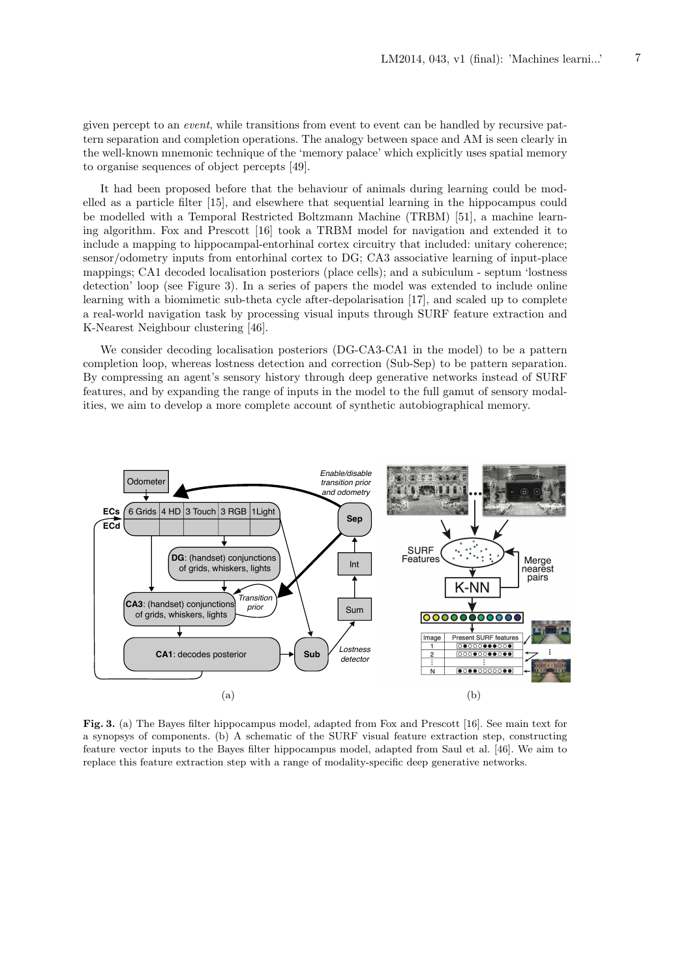given percept to an event, while transitions from event to event can be handled by recursive pattern separation and completion operations. The analogy between space and AM is seen clearly in the well-known mnemonic technique of the 'memory palace' which explicitly uses spatial memory to organise sequences of object percepts [49].

It had been proposed before that the behaviour of animals during learning could be modelled as a particle filter [15], and elsewhere that sequential learning in the hippocampus could be modelled with a Temporal Restricted Boltzmann Machine (TRBM) [51], a machine learning algorithm. Fox and Prescott [16] took a TRBM model for navigation and extended it to include a mapping to hippocampal-entorhinal cortex circuitry that included: unitary coherence; sensor/odometry inputs from entorhinal cortex to DG; CA3 associative learning of input-place mappings; CA1 decoded localisation posteriors (place cells); and a subiculum - septum 'lostness detection' loop (see Figure 3). In a series of papers the model was extended to include online learning with a biomimetic sub-theta cycle after-depolarisation [17], and scaled up to complete a real-world navigation task by processing visual inputs through SURF feature extraction and K-Nearest Neighbour clustering [46].

We consider decoding localisation posteriors (DG-CA3-CA1 in the model) to be a pattern completion loop, whereas lostness detection and correction (Sub-Sep) to be pattern separation. By compressing an agent's sensory history through deep generative networks instead of SURF features, and by expanding the range of inputs in the model to the full gamut of sensory modalities, we aim to develop a more complete account of synthetic autobiographical memory.



Fig. 3. (a) The Bayes filter hippocampus model, adapted from Fox and Prescott [16]. See main text for a synopsys of components. (b) A schematic of the SURF visual feature extraction step, constructing feature vector inputs to the Bayes filter hippocampus model, adapted from Saul et al. [46]. We aim to replace this feature extraction step with a range of modality-specific deep generative networks.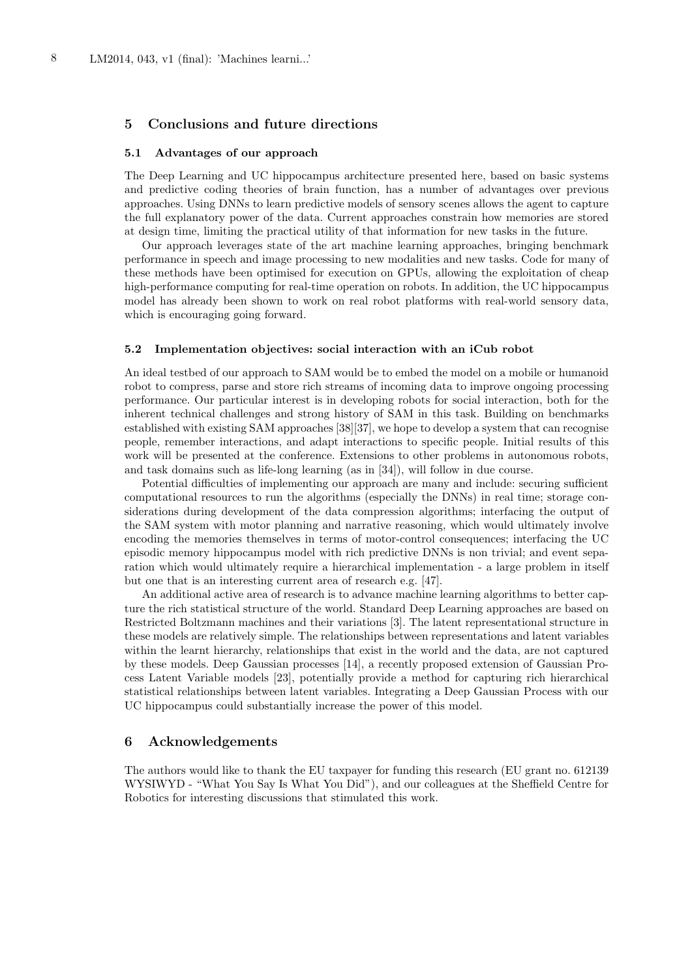# 5 Conclusions and future directions

#### 5.1 Advantages of our approach

The Deep Learning and UC hippocampus architecture presented here, based on basic systems and predictive coding theories of brain function, has a number of advantages over previous approaches. Using DNNs to learn predictive models of sensory scenes allows the agent to capture the full explanatory power of the data. Current approaches constrain how memories are stored at design time, limiting the practical utility of that information for new tasks in the future.

Our approach leverages state of the art machine learning approaches, bringing benchmark performance in speech and image processing to new modalities and new tasks. Code for many of these methods have been optimised for execution on GPUs, allowing the exploitation of cheap high-performance computing for real-time operation on robots. In addition, the UC hippocampus model has already been shown to work on real robot platforms with real-world sensory data, which is encouraging going forward.

#### 5.2 Implementation objectives: social interaction with an iCub robot

An ideal testbed of our approach to SAM would be to embed the model on a mobile or humanoid robot to compress, parse and store rich streams of incoming data to improve ongoing processing performance. Our particular interest is in developing robots for social interaction, both for the inherent technical challenges and strong history of SAM in this task. Building on benchmarks established with existing SAM approaches [38][37], we hope to develop a system that can recognise people, remember interactions, and adapt interactions to specific people. Initial results of this work will be presented at the conference. Extensions to other problems in autonomous robots, and task domains such as life-long learning (as in [34]), will follow in due course.

Potential difficulties of implementing our approach are many and include: securing sufficient computational resources to run the algorithms (especially the DNNs) in real time; storage considerations during development of the data compression algorithms; interfacing the output of the SAM system with motor planning and narrative reasoning, which would ultimately involve encoding the memories themselves in terms of motor-control consequences; interfacing the UC episodic memory hippocampus model with rich predictive DNNs is non trivial; and event separation which would ultimately require a hierarchical implementation - a large problem in itself but one that is an interesting current area of research e.g. [47].

An additional active area of research is to advance machine learning algorithms to better capture the rich statistical structure of the world. Standard Deep Learning approaches are based on Restricted Boltzmann machines and their variations [3]. The latent representational structure in these models are relatively simple. The relationships between representations and latent variables within the learnt hierarchy, relationships that exist in the world and the data, are not captured by these models. Deep Gaussian processes [14], a recently proposed extension of Gaussian Process Latent Variable models [23], potentially provide a method for capturing rich hierarchical statistical relationships between latent variables. Integrating a Deep Gaussian Process with our UC hippocampus could substantially increase the power of this model.

# 6 Acknowledgements

The authors would like to thank the EU taxpayer for funding this research (EU grant no. 612139 WYSIWYD - "What You Say Is What You Did"), and our colleagues at the Sheffield Centre for Robotics for interesting discussions that stimulated this work.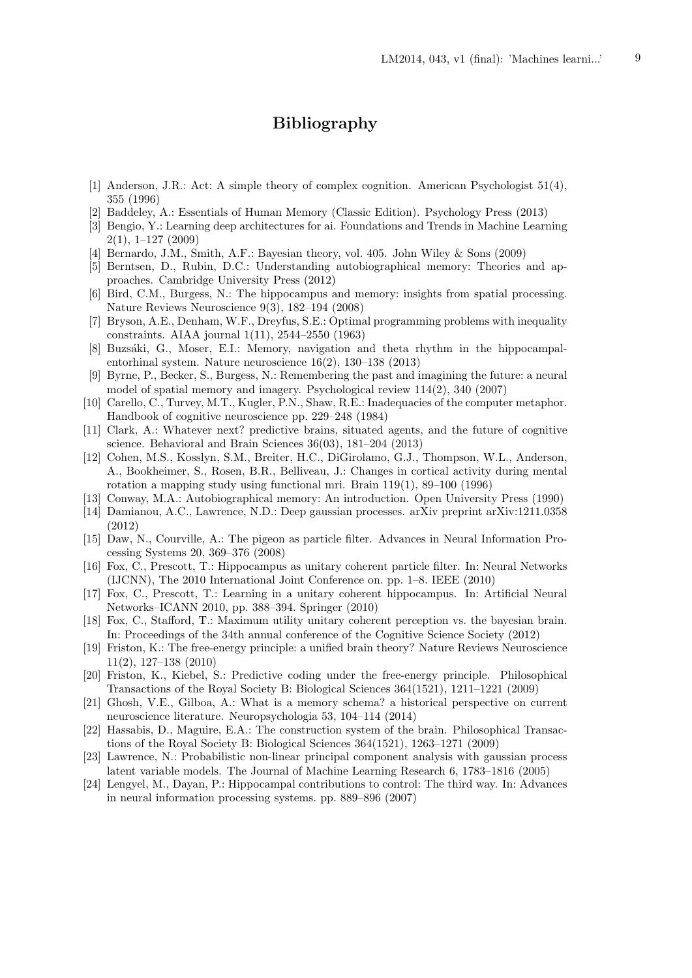# Bibliography

- [1] Anderson, J.R.: Act: A simple theory of complex cognition. American Psychologist 51(4), 355 (1996)
- [2] Baddeley, A.: Essentials of Human Memory (Classic Edition). Psychology Press (2013)
- [3] Bengio, Y.: Learning deep architectures for ai. Foundations and Trends in Machine Learning 2(1), 1–127 (2009)
- [4] Bernardo, J.M., Smith, A.F.: Bayesian theory, vol. 405. John Wiley & Sons (2009)
- [5] Berntsen, D., Rubin, D.C.: Understanding autobiographical memory: Theories and approaches. Cambridge University Press (2012)
- [6] Bird, C.M., Burgess, N.: The hippocampus and memory: insights from spatial processing. Nature Reviews Neuroscience 9(3), 182–194 (2008)
- [7] Bryson, A.E., Denham, W.F., Dreyfus, S.E.: Optimal programming problems with inequality constraints. AIAA journal 1(11), 2544–2550 (1963)
- [8] Buzsáki, G., Moser, E.I.: Memory, navigation and theta rhythm in the hippocampalentorhinal system. Nature neuroscience 16(2), 130–138 (2013)
- [9] Byrne, P., Becker, S., Burgess, N.: Remembering the past and imagining the future: a neural model of spatial memory and imagery. Psychological review 114(2), 340 (2007)
- [10] Carello, C., Turvey, M.T., Kugler, P.N., Shaw, R.E.: Inadequacies of the computer metaphor. Handbook of cognitive neuroscience pp. 229–248 (1984)
- [11] Clark, A.: Whatever next? predictive brains, situated agents, and the future of cognitive science. Behavioral and Brain Sciences 36(03), 181–204 (2013)
- [12] Cohen, M.S., Kosslyn, S.M., Breiter, H.C., DiGirolamo, G.J., Thompson, W.L., Anderson, A., Bookheimer, S., Rosen, B.R., Belliveau, J.: Changes in cortical activity during mental rotation a mapping study using functional mri. Brain 119(1), 89–100 (1996)
- [13] Conway, M.A.: Autobiographical memory: An introduction. Open University Press (1990)
- [14] Damianou, A.C., Lawrence, N.D.: Deep gaussian processes. arXiv preprint arXiv:1211.0358 (2012)
- [15] Daw, N., Courville, A.: The pigeon as particle filter. Advances in Neural Information Processing Systems 20, 369–376 (2008)
- [16] Fox, C., Prescott, T.: Hippocampus as unitary coherent particle filter. In: Neural Networks (IJCNN), The 2010 International Joint Conference on. pp. 1–8. IEEE (2010)
- [17] Fox, C., Prescott, T.: Learning in a unitary coherent hippocampus. In: Artificial Neural Networks–ICANN 2010, pp. 388–394. Springer (2010)
- [18] Fox, C., Stafford, T.: Maximum utility unitary coherent perception vs. the bayesian brain. In: Proceedings of the 34th annual conference of the Cognitive Science Society (2012)
- [19] Friston, K.: The free-energy principle: a unified brain theory? Nature Reviews Neuroscience 11(2), 127–138 (2010)
- [20] Friston, K., Kiebel, S.: Predictive coding under the free-energy principle. Philosophical Transactions of the Royal Society B: Biological Sciences 364(1521), 1211–1221 (2009)
- [21] Ghosh, V.E., Gilboa, A.: What is a memory schema? a historical perspective on current neuroscience literature. Neuropsychologia 53, 104–114 (2014)
- [22] Hassabis, D., Maguire, E.A.: The construction system of the brain. Philosophical Transactions of the Royal Society B: Biological Sciences 364(1521), 1263–1271 (2009)
- [23] Lawrence, N.: Probabilistic non-linear principal component analysis with gaussian process latent variable models. The Journal of Machine Learning Research 6, 1783–1816 (2005)
- [24] Lengyel, M., Dayan, P.: Hippocampal contributions to control: The third way. In: Advances in neural information processing systems. pp. 889–896 (2007)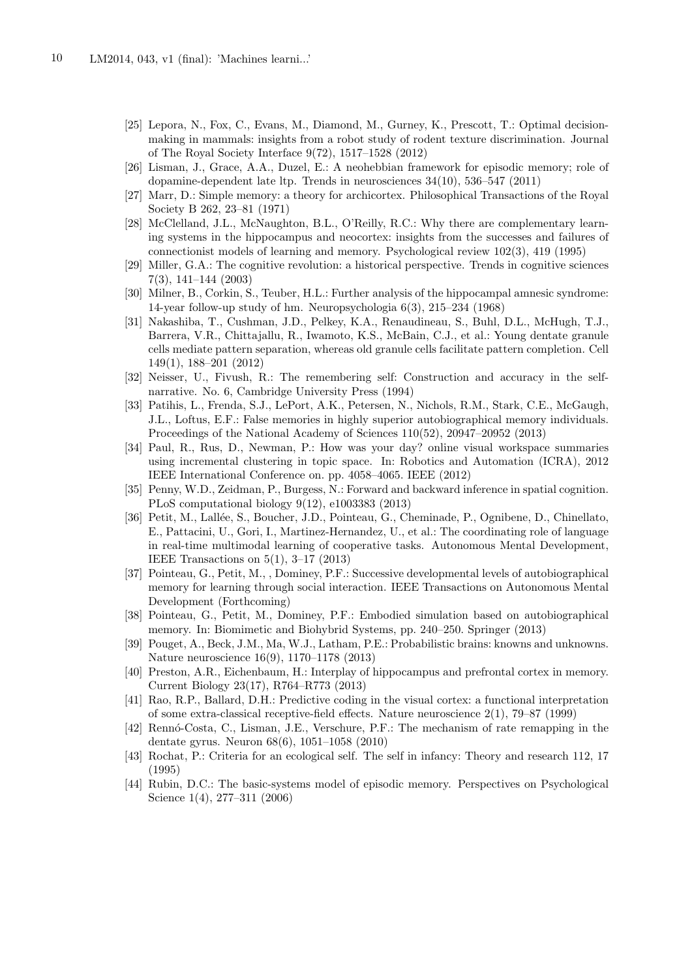- [25] Lepora, N., Fox, C., Evans, M., Diamond, M., Gurney, K., Prescott, T.: Optimal decisionmaking in mammals: insights from a robot study of rodent texture discrimination. Journal of The Royal Society Interface 9(72), 1517–1528 (2012)
- [26] Lisman, J., Grace, A.A., Duzel, E.: A neohebbian framework for episodic memory; role of dopamine-dependent late ltp. Trends in neurosciences 34(10), 536–547 (2011)
- [27] Marr, D.: Simple memory: a theory for archicortex. Philosophical Transactions of the Royal Society B 262, 23–81 (1971)
- [28] McClelland, J.L., McNaughton, B.L., O'Reilly, R.C.: Why there are complementary learning systems in the hippocampus and neocortex: insights from the successes and failures of connectionist models of learning and memory. Psychological review 102(3), 419 (1995)
- [29] Miller, G.A.: The cognitive revolution: a historical perspective. Trends in cognitive sciences 7(3), 141–144 (2003)
- [30] Milner, B., Corkin, S., Teuber, H.L.: Further analysis of the hippocampal amnesic syndrome: 14-year follow-up study of hm. Neuropsychologia 6(3), 215–234 (1968)
- [31] Nakashiba, T., Cushman, J.D., Pelkey, K.A., Renaudineau, S., Buhl, D.L., McHugh, T.J., Barrera, V.R., Chittajallu, R., Iwamoto, K.S., McBain, C.J., et al.: Young dentate granule cells mediate pattern separation, whereas old granule cells facilitate pattern completion. Cell 149(1), 188–201 (2012)
- [32] Neisser, U., Fivush, R.: The remembering self: Construction and accuracy in the selfnarrative. No. 6, Cambridge University Press (1994)
- [33] Patihis, L., Frenda, S.J., LePort, A.K., Petersen, N., Nichols, R.M., Stark, C.E., McGaugh, J.L., Loftus, E.F.: False memories in highly superior autobiographical memory individuals. Proceedings of the National Academy of Sciences 110(52), 20947–20952 (2013)
- [34] Paul, R., Rus, D., Newman, P.: How was your day? online visual workspace summaries using incremental clustering in topic space. In: Robotics and Automation (ICRA), 2012 IEEE International Conference on. pp. 4058–4065. IEEE (2012)
- [35] Penny, W.D., Zeidman, P., Burgess, N.: Forward and backward inference in spatial cognition. PLoS computational biology 9(12), e1003383 (2013)
- [36] Petit, M., Lallée, S., Boucher, J.D., Pointeau, G., Cheminade, P., Ognibene, D., Chinellato, E., Pattacini, U., Gori, I., Martinez-Hernandez, U., et al.: The coordinating role of language in real-time multimodal learning of cooperative tasks. Autonomous Mental Development, IEEE Transactions on  $5(1)$ , 3–17 (2013)
- [37] Pointeau, G., Petit, M., , Dominey, P.F.: Successive developmental levels of autobiographical memory for learning through social interaction. IEEE Transactions on Autonomous Mental Development (Forthcoming)
- [38] Pointeau, G., Petit, M., Dominey, P.F.: Embodied simulation based on autobiographical memory. In: Biomimetic and Biohybrid Systems, pp. 240–250. Springer (2013)
- [39] Pouget, A., Beck, J.M., Ma, W.J., Latham, P.E.: Probabilistic brains: knowns and unknowns. Nature neuroscience 16(9), 1170–1178 (2013)
- [40] Preston, A.R., Eichenbaum, H.: Interplay of hippocampus and prefrontal cortex in memory. Current Biology 23(17), R764–R773 (2013)
- [41] Rao, R.P., Ballard, D.H.: Predictive coding in the visual cortex: a functional interpretation of some extra-classical receptive-field effects. Nature neuroscience 2(1), 79–87 (1999)
- [42] Rennó-Costa, C., Lisman, J.E., Verschure, P.F.: The mechanism of rate remapping in the dentate gyrus. Neuron 68(6), 1051–1058 (2010)
- [43] Rochat, P.: Criteria for an ecological self. The self in infancy: Theory and research 112, 17 (1995)
- [44] Rubin, D.C.: The basic-systems model of episodic memory. Perspectives on Psychological Science 1(4), 277–311 (2006)